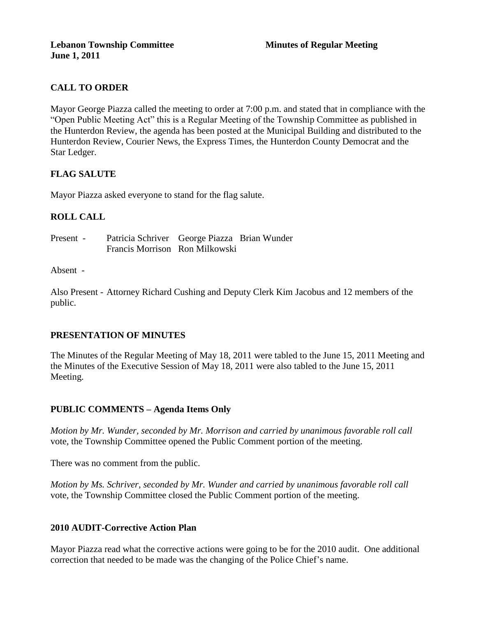# **CALL TO ORDER**

Mayor George Piazza called the meeting to order at 7:00 p.m. and stated that in compliance with the "Open Public Meeting Act" this is a Regular Meeting of the Township Committee as published in the Hunterdon Review, the agenda has been posted at the Municipal Building and distributed to the Hunterdon Review, Courier News, the Express Times, the Hunterdon County Democrat and the Star Ledger.

### **FLAG SALUTE**

Mayor Piazza asked everyone to stand for the flag salute.

## **ROLL CALL**

Present - Patricia Schriver George Piazza Brian Wunder Francis Morrison Ron Milkowski

#### Absent -

Also Present - Attorney Richard Cushing and Deputy Clerk Kim Jacobus and 12 members of the public.

### **PRESENTATION OF MINUTES**

The Minutes of the Regular Meeting of May 18, 2011 were tabled to the June 15, 2011 Meeting and the Minutes of the Executive Session of May 18, 2011 were also tabled to the June 15, 2011 Meeting.

### **PUBLIC COMMENTS – Agenda Items Only**

*Motion by Mr. Wunder, seconded by Mr. Morrison and carried by unanimous favorable roll call* vote*,* the Township Committee opened the Public Comment portion of the meeting.

There was no comment from the public.

*Motion by Ms. Schriver, seconded by Mr. Wunder and carried by unanimous favorable roll call*  vote*,* the Township Committee closed the Public Comment portion of the meeting.

### **2010 AUDIT-Corrective Action Plan**

Mayor Piazza read what the corrective actions were going to be for the 2010 audit. One additional correction that needed to be made was the changing of the Police Chief's name.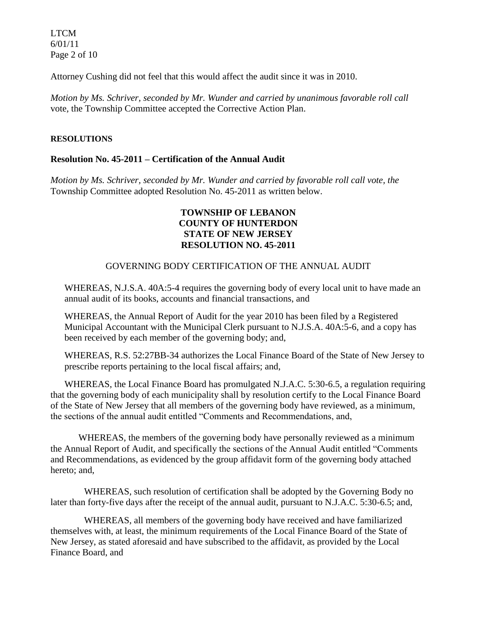LTCM 6/01/11 Page 2 of 10

Attorney Cushing did not feel that this would affect the audit since it was in 2010.

*Motion by Ms. Schriver, seconded by Mr. Wunder and carried by unanimous favorable roll call*  vote*,* the Township Committee accepted the Corrective Action Plan.

#### **RESOLUTIONS**

#### **Resolution No. 45-2011 – Certification of the Annual Audit**

*Motion by Ms. Schriver, seconded by Mr. Wunder and carried by favorable roll call vote, the* Township Committee adopted Resolution No. 45-2011 as written below.

#### **TOWNSHIP OF LEBANON COUNTY OF HUNTERDON STATE OF NEW JERSEY RESOLUTION NO. 45-2011**

#### GOVERNING BODY CERTIFICATION OF THE ANNUAL AUDIT

WHEREAS, N.J.S.A. 40A:5-4 requires the governing body of every local unit to have made an annual audit of its books, accounts and financial transactions, and

WHEREAS, the Annual Report of Audit for the year 2010 has been filed by a Registered Municipal Accountant with the Municipal Clerk pursuant to N.J.S.A. 40A:5-6, and a copy has been received by each member of the governing body; and,

WHEREAS, R.S. 52:27BB-34 authorizes the Local Finance Board of the State of New Jersey to prescribe reports pertaining to the local fiscal affairs; and,

WHEREAS, the Local Finance Board has promulgated N.J.A.C. 5:30-6.5, a regulation requiring that the governing body of each municipality shall by resolution certify to the Local Finance Board of the State of New Jersey that all members of the governing body have reviewed, as a minimum, the sections of the annual audit entitled "Comments and Recommendations, and,

WHEREAS, the members of the governing body have personally reviewed as a minimum the Annual Report of Audit, and specifically the sections of the Annual Audit entitled "Comments and Recommendations, as evidenced by the group affidavit form of the governing body attached hereto; and,

WHEREAS, such resolution of certification shall be adopted by the Governing Body no later than forty-five days after the receipt of the annual audit, pursuant to N.J.A.C. 5:30-6.5; and,

WHEREAS, all members of the governing body have received and have familiarized themselves with, at least, the minimum requirements of the Local Finance Board of the State of New Jersey, as stated aforesaid and have subscribed to the affidavit, as provided by the Local Finance Board, and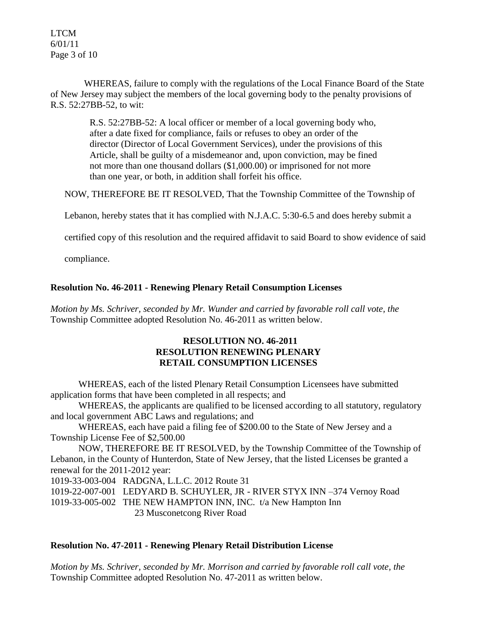LTCM 6/01/11 Page 3 of 10

WHEREAS, failure to comply with the regulations of the Local Finance Board of the State of New Jersey may subject the members of the local governing body to the penalty provisions of R.S. 52:27BB-52, to wit:

> R.S. 52:27BB-52: A local officer or member of a local governing body who, after a date fixed for compliance, fails or refuses to obey an order of the director (Director of Local Government Services), under the provisions of this Article, shall be guilty of a misdemeanor and, upon conviction, may be fined not more than one thousand dollars (\$1,000.00) or imprisoned for not more than one year, or both, in addition shall forfeit his office.

NOW, THEREFORE BE IT RESOLVED, That the Township Committee of the Township of

Lebanon, hereby states that it has complied with N.J.A.C. 5:30-6.5 and does hereby submit a

certified copy of this resolution and the required affidavit to said Board to show evidence of said

compliance.

### **Resolution No. 46-2011 - Renewing Plenary Retail Consumption Licenses**

*Motion by Ms. Schriver, seconded by Mr. Wunder and carried by favorable roll call vote, the* Township Committee adopted Resolution No. 46-2011 as written below.

#### **RESOLUTION NO. 46-2011 RESOLUTION RENEWING PLENARY RETAIL CONSUMPTION LICENSES**

WHEREAS, each of the listed Plenary Retail Consumption Licensees have submitted application forms that have been completed in all respects; and

WHEREAS, the applicants are qualified to be licensed according to all statutory, regulatory and local government ABC Laws and regulations; and

WHEREAS, each have paid a filing fee of \$200.00 to the State of New Jersey and a Township License Fee of \$2,500.00

NOW, THEREFORE BE IT RESOLVED, by the Township Committee of the Township of Lebanon, in the County of Hunterdon, State of New Jersey, that the listed Licenses be granted a renewal for the 2011-2012 year:

1019-33-003-004 RADGNA, L.L.C. 2012 Route 31

1019-22-007-001 LEDYARD B. SCHUYLER, JR - RIVER STYX INN –374 Vernoy Road

1019-33-005-002 THE NEW HAMPTON INN, INC. t/a New Hampton Inn 23 Musconetcong River Road

#### **Resolution No. 47-2011 - Renewing Plenary Retail Distribution License**

*Motion by Ms. Schriver, seconded by Mr. Morrison and carried by favorable roll call vote, the* Township Committee adopted Resolution No. 47-2011 as written below.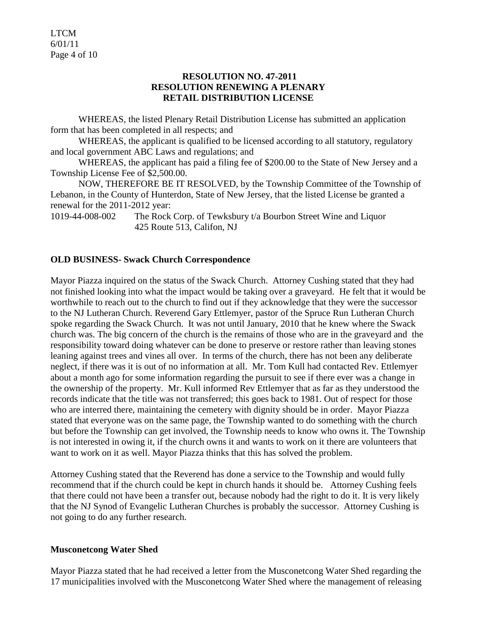LTCM 6/01/11 Page 4 of 10

#### **RESOLUTION NO. 47-2011 RESOLUTION RENEWING A PLENARY RETAIL DISTRIBUTION LICENSE**

WHEREAS, the listed Plenary Retail Distribution License has submitted an application form that has been completed in all respects; and

WHEREAS, the applicant is qualified to be licensed according to all statutory, regulatory and local government ABC Laws and regulations; and

WHEREAS, the applicant has paid a filing fee of \$200.00 to the State of New Jersey and a Township License Fee of \$2,500.00.

NOW, THEREFORE BE IT RESOLVED, by the Township Committee of the Township of Lebanon, in the County of Hunterdon, State of New Jersey, that the listed License be granted a renewal for the 2011-2012 year:

1019-44-008-002 The Rock Corp. of Tewksbury t/a Bourbon Street Wine and Liquor 425 Route 513, Califon, NJ

### **OLD BUSINESS- Swack Church Correspondence**

Mayor Piazza inquired on the status of the Swack Church. Attorney Cushing stated that they had not finished looking into what the impact would be taking over a graveyard. He felt that it would be worthwhile to reach out to the church to find out if they acknowledge that they were the successor to the NJ Lutheran Church. Reverend Gary Ettlemyer, pastor of the Spruce Run Lutheran Church spoke regarding the Swack Church. It was not until January, 2010 that he knew where the Swack church was. The big concern of the church is the remains of those who are in the graveyard and the responsibility toward doing whatever can be done to preserve or restore rather than leaving stones leaning against trees and vines all over. In terms of the church, there has not been any deliberate neglect, if there was it is out of no information at all. Mr. Tom Kull had contacted Rev. Ettlemyer about a month ago for some information regarding the pursuit to see if there ever was a change in the ownership of the property. Mr. Kull informed Rev Ettlemyer that as far as they understood the records indicate that the title was not transferred; this goes back to 1981. Out of respect for those who are interred there, maintaining the cemetery with dignity should be in order. Mayor Piazza stated that everyone was on the same page, the Township wanted to do something with the church but before the Township can get involved, the Township needs to know who owns it. The Township is not interested in owing it, if the church owns it and wants to work on it there are volunteers that want to work on it as well. Mayor Piazza thinks that this has solved the problem.

Attorney Cushing stated that the Reverend has done a service to the Township and would fully recommend that if the church could be kept in church hands it should be. Attorney Cushing feels that there could not have been a transfer out, because nobody had the right to do it. It is very likely that the NJ Synod of Evangelic Lutheran Churches is probably the successor. Attorney Cushing is not going to do any further research.

#### **Musconetcong Water Shed**

Mayor Piazza stated that he had received a letter from the Musconetcong Water Shed regarding the 17 municipalities involved with the Musconetcong Water Shed where the management of releasing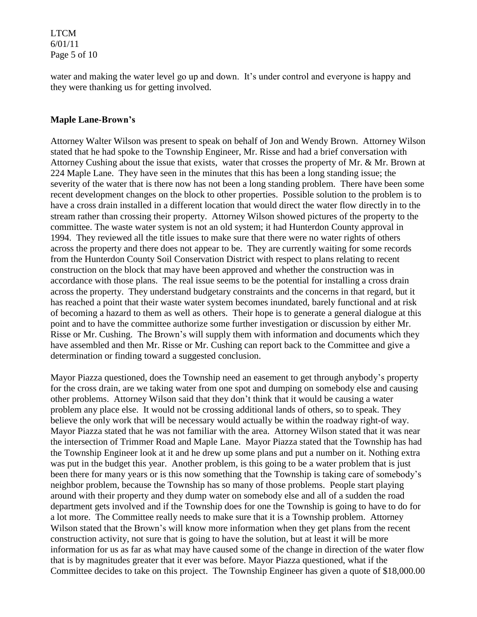LTCM 6/01/11 Page 5 of 10

water and making the water level go up and down. It's under control and everyone is happy and they were thanking us for getting involved.

#### **Maple Lane-Brown's**

Attorney Walter Wilson was present to speak on behalf of Jon and Wendy Brown. Attorney Wilson stated that he had spoke to the Township Engineer, Mr. Risse and had a brief conversation with Attorney Cushing about the issue that exists, water that crosses the property of Mr. & Mr. Brown at 224 Maple Lane. They have seen in the minutes that this has been a long standing issue; the severity of the water that is there now has not been a long standing problem. There have been some recent development changes on the block to other properties. Possible solution to the problem is to have a cross drain installed in a different location that would direct the water flow directly in to the stream rather than crossing their property. Attorney Wilson showed pictures of the property to the committee. The waste water system is not an old system; it had Hunterdon County approval in 1994. They reviewed all the title issues to make sure that there were no water rights of others across the property and there does not appear to be. They are currently waiting for some records from the Hunterdon County Soil Conservation District with respect to plans relating to recent construction on the block that may have been approved and whether the construction was in accordance with those plans. The real issue seems to be the potential for installing a cross drain across the property. They understand budgetary constraints and the concerns in that regard, but it has reached a point that their waste water system becomes inundated, barely functional and at risk of becoming a hazard to them as well as others. Their hope is to generate a general dialogue at this point and to have the committee authorize some further investigation or discussion by either Mr. Risse or Mr. Cushing. The Brown's will supply them with information and documents which they have assembled and then Mr. Risse or Mr. Cushing can report back to the Committee and give a determination or finding toward a suggested conclusion.

Mayor Piazza questioned, does the Township need an easement to get through anybody's property for the cross drain, are we taking water from one spot and dumping on somebody else and causing other problems. Attorney Wilson said that they don't think that it would be causing a water problem any place else. It would not be crossing additional lands of others, so to speak. They believe the only work that will be necessary would actually be within the roadway right-of way. Mayor Piazza stated that he was not familiar with the area. Attorney Wilson stated that it was near the intersection of Trimmer Road and Maple Lane. Mayor Piazza stated that the Township has had the Township Engineer look at it and he drew up some plans and put a number on it. Nothing extra was put in the budget this year. Another problem, is this going to be a water problem that is just been there for many years or is this now something that the Township is taking care of somebody's neighbor problem, because the Township has so many of those problems. People start playing around with their property and they dump water on somebody else and all of a sudden the road department gets involved and if the Township does for one the Township is going to have to do for a lot more. The Committee really needs to make sure that it is a Township problem. Attorney Wilson stated that the Brown's will know more information when they get plans from the recent construction activity, not sure that is going to have the solution, but at least it will be more information for us as far as what may have caused some of the change in direction of the water flow that is by magnitudes greater that it ever was before. Mayor Piazza questioned, what if the Committee decides to take on this project. The Township Engineer has given a quote of \$18,000.00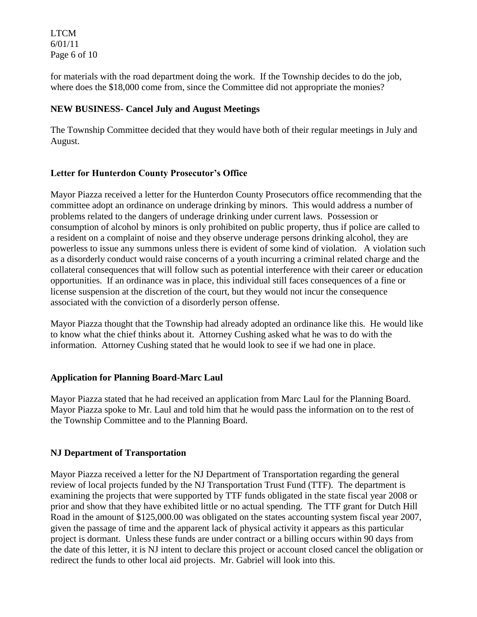LTCM 6/01/11 Page 6 of 10

for materials with the road department doing the work. If the Township decides to do the job, where does the \$18,000 come from, since the Committee did not appropriate the monies?

### **NEW BUSINESS- Cancel July and August Meetings**

The Township Committee decided that they would have both of their regular meetings in July and August.

### **Letter for Hunterdon County Prosecutor's Office**

Mayor Piazza received a letter for the Hunterdon County Prosecutors office recommending that the committee adopt an ordinance on underage drinking by minors. This would address a number of problems related to the dangers of underage drinking under current laws. Possession or consumption of alcohol by minors is only prohibited on public property, thus if police are called to a resident on a complaint of noise and they observe underage persons drinking alcohol, they are powerless to issue any summons unless there is evident of some kind of violation. A violation such as a disorderly conduct would raise concerns of a youth incurring a criminal related charge and the collateral consequences that will follow such as potential interference with their career or education opportunities. If an ordinance was in place, this individual still faces consequences of a fine or license suspension at the discretion of the court, but they would not incur the consequence associated with the conviction of a disorderly person offense.

Mayor Piazza thought that the Township had already adopted an ordinance like this. He would like to know what the chief thinks about it. Attorney Cushing asked what he was to do with the information. Attorney Cushing stated that he would look to see if we had one in place.

#### **Application for Planning Board-Marc Laul**

Mayor Piazza stated that he had received an application from Marc Laul for the Planning Board. Mayor Piazza spoke to Mr. Laul and told him that he would pass the information on to the rest of the Township Committee and to the Planning Board.

### **NJ Department of Transportation**

Mayor Piazza received a letter for the NJ Department of Transportation regarding the general review of local projects funded by the NJ Transportation Trust Fund (TTF). The department is examining the projects that were supported by TTF funds obligated in the state fiscal year 2008 or prior and show that they have exhibited little or no actual spending. The TTF grant for Dutch Hill Road in the amount of \$125,000.00 was obligated on the states accounting system fiscal year 2007, given the passage of time and the apparent lack of physical activity it appears as this particular project is dormant. Unless these funds are under contract or a billing occurs within 90 days from the date of this letter, it is NJ intent to declare this project or account closed cancel the obligation or redirect the funds to other local aid projects. Mr. Gabriel will look into this.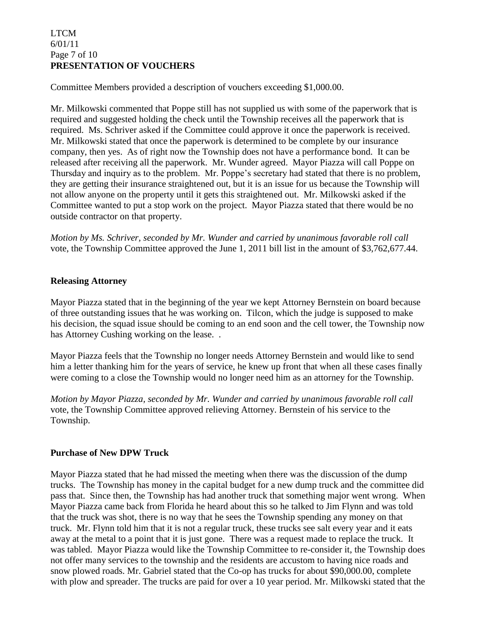### LTCM 6/01/11 Page 7 of 10 **PRESENTATION OF VOUCHERS**

Committee Members provided a description of vouchers exceeding \$1,000.00.

Mr. Milkowski commented that Poppe still has not supplied us with some of the paperwork that is required and suggested holding the check until the Township receives all the paperwork that is required. Ms. Schriver asked if the Committee could approve it once the paperwork is received. Mr. Milkowski stated that once the paperwork is determined to be complete by our insurance company, then yes. As of right now the Township does not have a performance bond. It can be released after receiving all the paperwork. Mr. Wunder agreed. Mayor Piazza will call Poppe on Thursday and inquiry as to the problem. Mr. Poppe's secretary had stated that there is no problem, they are getting their insurance straightened out, but it is an issue for us because the Township will not allow anyone on the property until it gets this straightened out. Mr. Milkowski asked if the Committee wanted to put a stop work on the project. Mayor Piazza stated that there would be no outside contractor on that property.

*Motion by Ms. Schriver, seconded by Mr. Wunder and carried by unanimous favorable roll call* vote, the Township Committee approved the June 1, 2011 bill list in the amount of \$3,762,677.44.

### **Releasing Attorney**

Mayor Piazza stated that in the beginning of the year we kept Attorney Bernstein on board because of three outstanding issues that he was working on. Tilcon, which the judge is supposed to make his decision, the squad issue should be coming to an end soon and the cell tower, the Township now has Attorney Cushing working on the lease...

Mayor Piazza feels that the Township no longer needs Attorney Bernstein and would like to send him a letter thanking him for the years of service, he knew up front that when all these cases finally were coming to a close the Township would no longer need him as an attorney for the Township.

*Motion by Mayor Piazza, seconded by Mr. Wunder and carried by unanimous favorable roll call* vote, the Township Committee approved relieving Attorney. Bernstein of his service to the Township.

### **Purchase of New DPW Truck**

Mayor Piazza stated that he had missed the meeting when there was the discussion of the dump trucks. The Township has money in the capital budget for a new dump truck and the committee did pass that. Since then, the Township has had another truck that something major went wrong. When Mayor Piazza came back from Florida he heard about this so he talked to Jim Flynn and was told that the truck was shot, there is no way that he sees the Township spending any money on that truck. Mr. Flynn told him that it is not a regular truck, these trucks see salt every year and it eats away at the metal to a point that it is just gone. There was a request made to replace the truck. It was tabled. Mayor Piazza would like the Township Committee to re-consider it, the Township does not offer many services to the township and the residents are accustom to having nice roads and snow plowed roads. Mr. Gabriel stated that the Co-op has trucks for about \$90,000.00, complete with plow and spreader. The trucks are paid for over a 10 year period. Mr. Milkowski stated that the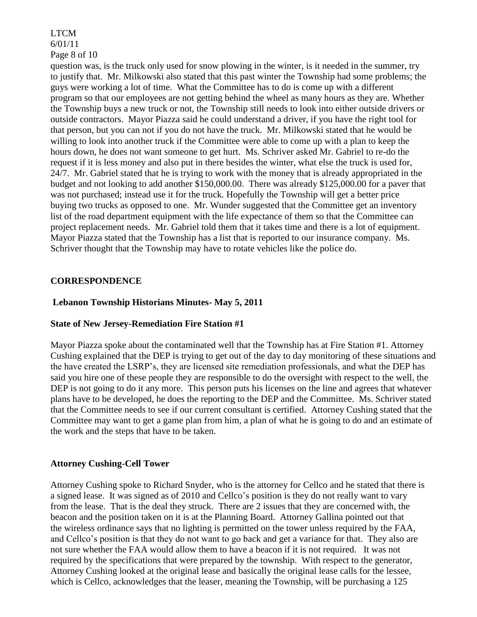#### LTCM 6/01/11 Page 8 of 10

question was, is the truck only used for snow plowing in the winter, is it needed in the summer, try to justify that. Mr. Milkowski also stated that this past winter the Township had some problems; the guys were working a lot of time. What the Committee has to do is come up with a different program so that our employees are not getting behind the wheel as many hours as they are. Whether the Township buys a new truck or not, the Township still needs to look into either outside drivers or outside contractors. Mayor Piazza said he could understand a driver, if you have the right tool for that person, but you can not if you do not have the truck. Mr. Milkowski stated that he would be willing to look into another truck if the Committee were able to come up with a plan to keep the hours down, he does not want someone to get hurt. Ms. Schriver asked Mr. Gabriel to re-do the request if it is less money and also put in there besides the winter, what else the truck is used for, 24/7. Mr. Gabriel stated that he is trying to work with the money that is already appropriated in the budget and not looking to add another \$150,000.00. There was already \$125,000.00 for a paver that was not purchased; instead use it for the truck. Hopefully the Township will get a better price buying two trucks as opposed to one. Mr. Wunder suggested that the Committee get an inventory list of the road department equipment with the life expectance of them so that the Committee can project replacement needs. Mr. Gabriel told them that it takes time and there is a lot of equipment. Mayor Piazza stated that the Township has a list that is reported to our insurance company. Ms. Schriver thought that the Township may have to rotate vehicles like the police do.

### **CORRESPONDENCE**

### **Lebanon Township Historians Minutes- May 5, 2011**

#### **State of New Jersey-Remediation Fire Station #1**

Mayor Piazza spoke about the contaminated well that the Township has at Fire Station #1. Attorney Cushing explained that the DEP is trying to get out of the day to day monitoring of these situations and the have created the LSRP's, they are licensed site remediation professionals, and what the DEP has said you hire one of these people they are responsible to do the oversight with respect to the well, the DEP is not going to do it any more. This person puts his licenses on the line and agrees that whatever plans have to be developed, he does the reporting to the DEP and the Committee. Ms. Schriver stated that the Committee needs to see if our current consultant is certified. Attorney Cushing stated that the Committee may want to get a game plan from him, a plan of what he is going to do and an estimate of the work and the steps that have to be taken.

#### **Attorney Cushing-Cell Tower**

Attorney Cushing spoke to Richard Snyder, who is the attorney for Cellco and he stated that there is a signed lease. It was signed as of 2010 and Cellco's position is they do not really want to vary from the lease. That is the deal they struck. There are 2 issues that they are concerned with, the beacon and the position taken on it is at the Planning Board. Attorney Gallina pointed out that the wireless ordinance says that no lighting is permitted on the tower unless required by the FAA, and Cellco's position is that they do not want to go back and get a variance for that. They also are not sure whether the FAA would allow them to have a beacon if it is not required. It was not required by the specifications that were prepared by the township. With respect to the generator, Attorney Cushing looked at the original lease and basically the original lease calls for the lessee, which is Cellco, acknowledges that the leaser, meaning the Township, will be purchasing a 125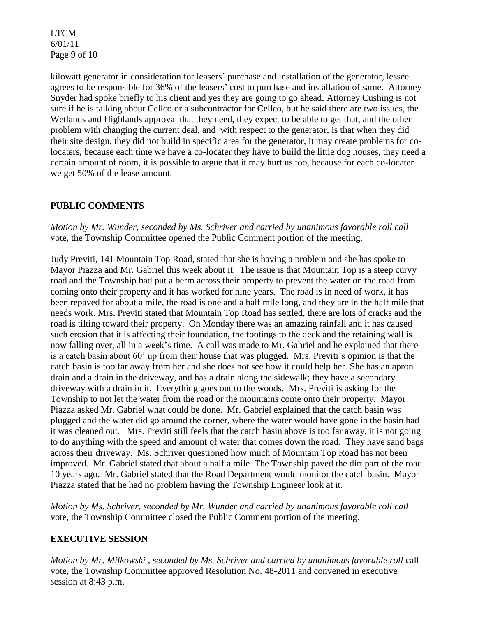LTCM 6/01/11 Page 9 of 10

kilowatt generator in consideration for leasers' purchase and installation of the generator, lessee agrees to be responsible for 36% of the leasers' cost to purchase and installation of same. Attorney Snyder had spoke briefly to his client and yes they are going to go ahead, Attorney Cushing is not sure if he is talking about Cellco or a subcontractor for Cellco, but he said there are two issues, the Wetlands and Highlands approval that they need, they expect to be able to get that, and the other problem with changing the current deal, and with respect to the generator, is that when they did their site design, they did not build in specific area for the generator, it may create problems for colocaters, because each time we have a co-locater they have to build the little dog houses, they need a certain amount of room, it is possible to argue that it may hurt us too, because for each co-locater we get 50% of the lease amount.

## **PUBLIC COMMENTS**

*Motion by Mr. Wunder, seconded by Ms. Schriver and carried by unanimous favorable roll call* vote, the Township Committee opened the Public Comment portion of the meeting.

Judy Previti, 141 Mountain Top Road, stated that she is having a problem and she has spoke to Mayor Piazza and Mr. Gabriel this week about it. The issue is that Mountain Top is a steep curvy road and the Township had put a berm across their property to prevent the water on the road from coming onto their property and it has worked for nine years. The road is in need of work, it has been repaved for about a mile, the road is one and a half mile long, and they are in the half mile that needs work. Mrs. Previti stated that Mountain Top Road has settled, there are lots of cracks and the road is tilting toward their property. On Monday there was an amazing rainfall and it has caused such erosion that it is affecting their foundation, the footings to the deck and the retaining wall is now falling over, all in a week's time. A call was made to Mr. Gabriel and he explained that there is a catch basin about 60' up from their house that was plugged. Mrs. Previti's opinion is that the catch basin is too far away from her and she does not see how it could help her. She has an apron drain and a drain in the driveway, and has a drain along the sidewalk; they have a secondary driveway with a drain in it. Everything goes out to the woods. Mrs. Previti is asking for the Township to not let the water from the road or the mountains come onto their property. Mayor Piazza asked Mr. Gabriel what could be done. Mr. Gabriel explained that the catch basin was plugged and the water did go around the corner, where the water would have gone in the basin had it was cleaned out. Mrs. Previti still feels that the catch basin above is too far away, it is not going to do anything with the speed and amount of water that comes down the road. They have sand bags across their driveway. Ms. Schriver questioned how much of Mountain Top Road has not been improved. Mr. Gabriel stated that about a half a mile. The Township paved the dirt part of the road 10 years ago. Mr. Gabriel stated that the Road Department would monitor the catch basin. Mayor Piazza stated that he had no problem having the Township Engineer look at it.

*Motion by Ms. Schriver, seconded by Mr. Wunder and carried by unanimous favorable roll call* vote*,* the Township Committee closed the Public Comment portion of the meeting.

#### **EXECUTIVE SESSION**

*Motion by Mr. Milkowski , seconded by Ms. Schriver and carried by unanimous favorable roll* call vote, the Township Committee approved Resolution No. 48-2011 and convened in executive session at 8:43 p.m.